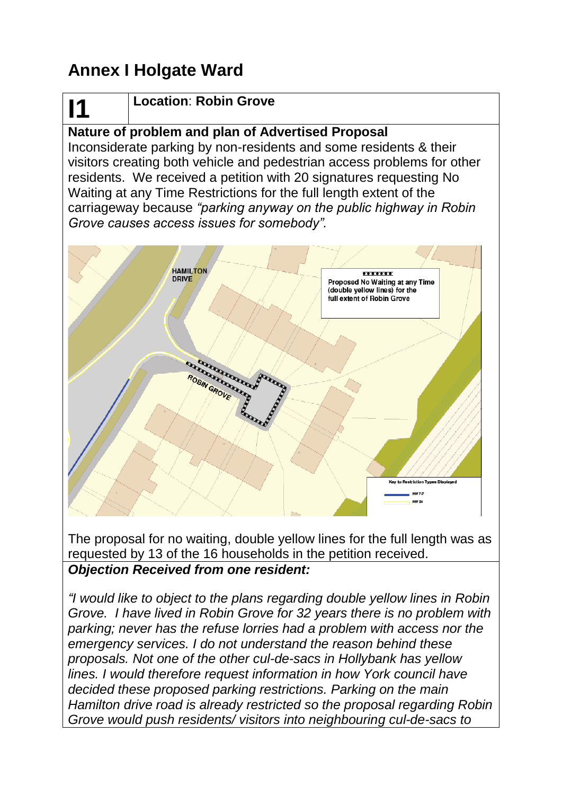# **Annex I Holgate Ward**

# **I1 Location**: **Robin Grove**

## **Nature of problem and plan of Advertised Proposal**

Inconsiderate parking by non-residents and some residents & their visitors creating both vehicle and pedestrian access problems for other residents. We received a petition with 20 signatures requesting No Waiting at any Time Restrictions for the full length extent of the carriageway because *"parking anyway on the public highway in Robin Grove causes access issues for somebody".*



The proposal for no waiting, double yellow lines for the full length was as requested by 13 of the 16 households in the petition received. *Objection Received from one resident:*

*"I would like to object to the plans regarding double yellow lines in Robin Grove. I have lived in Robin Grove for 32 years there is no problem with parking; never has the refuse lorries had a problem with access nor the emergency services. I do not understand the reason behind these proposals. Not one of the other cul-de-sacs in Hollybank has yellow lines. I would therefore request information in how York council have decided these proposed parking restrictions. Parking on the main Hamilton drive road is already restricted so the proposal regarding Robin Grove would push residents/ visitors into neighbouring cul-de-sacs to*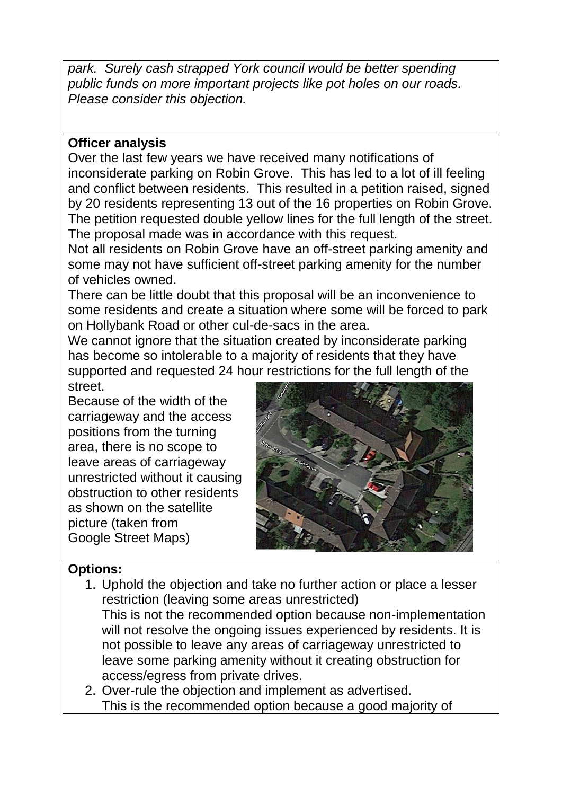*park. Surely cash strapped York council would be better spending public funds on more important projects like pot holes on our roads. Please consider this objection.*

### **Officer analysis**

Over the last few years we have received many notifications of inconsiderate parking on Robin Grove. This has led to a lot of ill feeling and conflict between residents. This resulted in a petition raised, signed by 20 residents representing 13 out of the 16 properties on Robin Grove. The petition requested double yellow lines for the full length of the street. The proposal made was in accordance with this request.

Not all residents on Robin Grove have an off-street parking amenity and some may not have sufficient off-street parking amenity for the number of vehicles owned.

There can be little doubt that this proposal will be an inconvenience to some residents and create a situation where some will be forced to park on Hollybank Road or other cul-de-sacs in the area.

We cannot ignore that the situation created by inconsiderate parking has become so intolerable to a majority of residents that they have supported and requested 24 hour restrictions for the full length of the street.

Because of the width of the carriageway and the access positions from the turning area, there is no scope to leave areas of carriageway unrestricted without it causing obstruction to other residents as shown on the satellite picture (taken from Google Street Maps)



### **Options:**

- 1. Uphold the objection and take no further action or place a lesser restriction (leaving some areas unrestricted) This is not the recommended option because non-implementation will not resolve the ongoing issues experienced by residents. It is not possible to leave any areas of carriageway unrestricted to leave some parking amenity without it creating obstruction for access/egress from private drives.
- 2. Over-rule the objection and implement as advertised. This is the recommended option because a good majority of